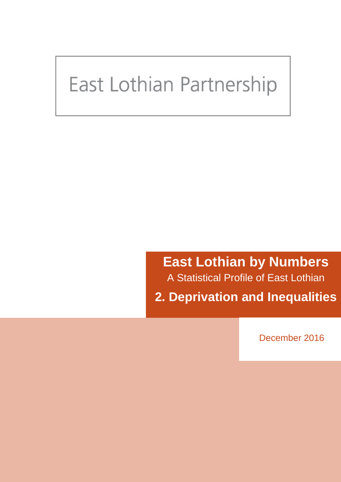# <span id="page-0-0"></span>East Lothian Partnership

**East Lothian by Numbers** A Statistical Profile of East Lothian **2. Deprivation and Inequalities**

December 2016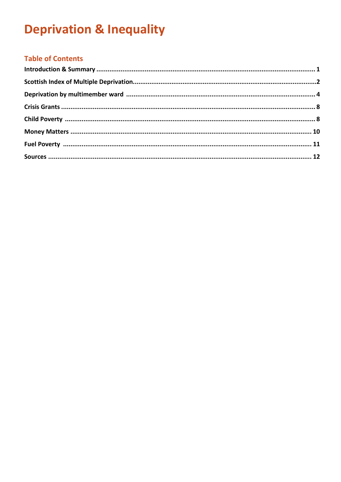## **Table of Contents**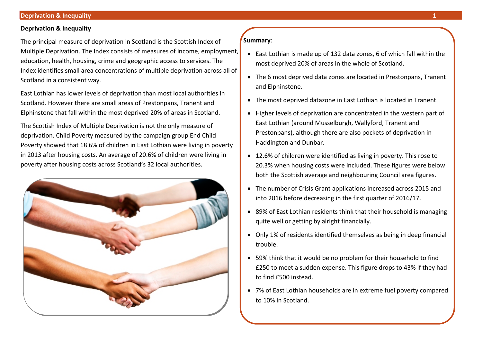The principal measure of deprivation in Scotland is the Scottish Index of Multiple Deprivation. The Index consists of measures of income, employment, education, health, housing, crime and geographic access to services. The Index identifies small area concentrations of multiple deprivation across all of Scotland in a consistent way.

East Lothian has lower levels of deprivation than most local authorities in Scotland. However there are small areas of Prestonpans, Tranent and Elphinstone that fall within the most deprived 20% of areas in Scotland.

The Scottish Index of Multiple Deprivation is not the only measure of deprivation. Child Poverty measured by the campaign group End Child Poverty showed that 18.6% of children in East Lothian were living in poverty in 2013 after housing costs. An average of 20.6% of children were living in poverty after housing costs across Scotland's 32 local authorities.

<span id="page-2-1"></span><span id="page-2-0"></span>

#### **Summary**:

- East Lothian is made up of 132 data zones, 6 of which fall within the most deprived 20% of areas in the whole of Scotland.
- The 6 most deprived data zones are located in Prestonpans, Tranent and Elphinstone.
- The most deprived datazone in East Lothian is located in Tranent.
- Higher levels of deprivation are concentrated in the western part of East Lothian (around Musselburgh, Wallyford, Tranent and Prestonpans), although there are also pockets of deprivation in Haddington and Dunbar.
- 12.6% of children were identified as living in poverty. This rose to 20.3% when housing costs were included. These figures were below both the Scottish average and neighbouring Council area figures.
- The number of Crisis Grant applications increased across 2015 and into 2016 before decreasing in the first quarter of 2016/17.
- 89% of East Lothian residents think that their household is managing quite well or getting by alright financially.
- Only 1% of residents identified themselves as being in deep financial trouble.
- 59% think that it would be no problem for their household to find £250 to meet a sudden expense. This figure drops to 43% if they had to find £500 instead.
- <span id="page-2-2"></span>• 7% of East Lothian households are in extreme fuel poverty compared to 10% in Scotland.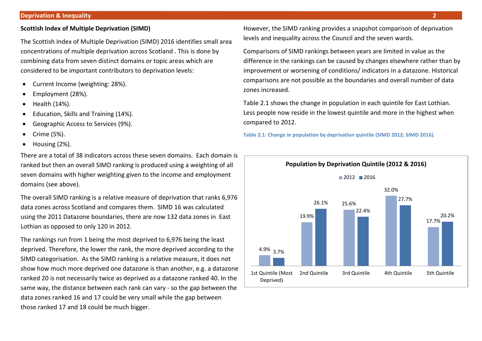#### **Scottish Index of Multiple Deprivation (SIMD)**

The Scottish Index of Multiple Deprivation (SIMD) 2016 identifies small area concentrations of multiple deprivation across Scotland . This is done by combining data from seven distinct domains or topic areas which are considered to be important contributors to deprivation levels:

- Current Income (weighting: 28%).
- Employment (28%).
- Health (14%).
- Education, Skills and Training (14%).
- Geographic Access to Services (9%).
- Crime (5%).
- Housing (2%).

There are a total of 38 indicators across these seven domains. Each domain is ranked but then an overall SIMD ranking is produced using a weighting of all seven domains with higher weighting given to the income and employment domains (see above).

The overall SIMD ranking is a relative measure of deprivation that ranks 6,976 data zones across Scotland and compares them. SIMD 16 was calculated using the 2011 Datazone boundaries, there are now 132 data zones in East Lothian as opposed to only 120 in 2012.

The rankings run from 1 being the most deprived to 6,976 being the least deprived. Therefore, the lower the rank, the more deprived according to the SIMD categorisation. As the SIMD ranking is a relative measure, it does not show how much more deprived one datazone is than another, e.g. a datazone ranked 20 is not necessarily twice as deprived as a datazone ranked 40. In the same way, the distance between each rank can vary - so the gap between the data zones ranked 16 and 17 could be very small while the gap between those ranked 17 and 18 could be much bigger.

However, the SIMD ranking provides a snapshot comparison of deprivation levels and inequality across the Council and the seven wards.

Comparisons of SIMD rankings between years are limited in value as the difference in the rankings can be caused by changes elsewhere rather than by improvement or worsening of conditions/ indicators in a datazone. Historical comparisons are not possible as the boundaries and overall number of data zones increased.

Table 2.1 shows the change in population in each quintile for East Lothian. Less people now reside in the lowest quintile and more in the highest when compared to 2012.

**Table 2.1: Change in population by deprivation quintile (SIMD 2012; SIMD 2016).**

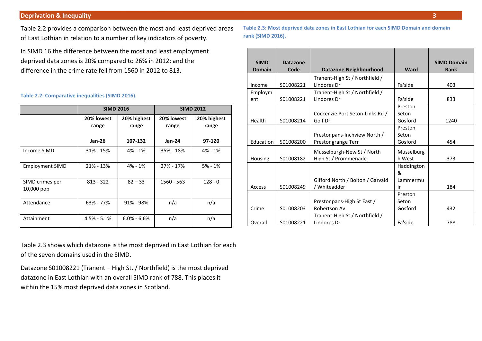Table 2.2 provides a comparison between the most and least deprived areas of East Lothian in relation to a number of key indicators of poverty.

In SIMD 16 the difference between the most and least employment deprived data zones is 20% compared to 26% in 2012; and the difference in the crime rate fell from 1560 in 2012 to 813.

#### **Table 2.2: Comparative inequalities (SIMD 2016).**

|                               | <b>SIMD 2016</b>                            |                 | <b>SIMD 2012</b>    |                      |  |
|-------------------------------|---------------------------------------------|-----------------|---------------------|----------------------|--|
|                               | 20% lowest<br>20% highest<br>range<br>range |                 | 20% lowest<br>range | 20% highest<br>range |  |
|                               | Jan-26                                      | 107-132         | Jan-24              | 97-120               |  |
| Income SIMD                   | 31% - 15%                                   | $4\% - 1\%$     | 35% - 18%           | $4% - 1%$            |  |
| <b>Employment SIMD</b>        | $21\% - 13\%$                               | $4% - 1%$       | 27% - 17%           | $5% - 1%$            |  |
| SIMD crimes per<br>10,000 pop | $813 - 322$                                 | $82 - 33$       | 1560 - 563          | $128 - 0$            |  |
| Attendance                    | 63% - 77%                                   | 91% - 98%       | n/a                 | n/a                  |  |
| Attainment                    | $4.5% - 5.1%$                               | $6.0\% - 6.6\%$ | n/a                 | n/a                  |  |

Table 2.3 shows which datazone is the most deprived in East Lothian for each of the seven domains used in the SIMD.

Datazone S01008221 (Tranent – High St. / Northfield) is the most deprived datazone in East Lothian with an overall SIMD rank of 788. This places it within the 15% most deprived data zones in Scotland.

**Table 2.3: Most deprived data zones in East Lothian for each SIMD Domain and domain rank (SIMD 2016).**

| <b>SIMD</b>   | <b>Datazone</b> |                                  |             | <b>SIMD Domain</b> |
|---------------|-----------------|----------------------------------|-------------|--------------------|
| <b>Domain</b> | Code            | <b>Datazone Neighbourhood</b>    | <b>Ward</b> | <b>Rank</b>        |
|               |                 | Tranent-High St / Northfield /   |             |                    |
| Income        | S01008221       | Lindores Dr                      | Fa'side     | 403                |
| Employm       |                 | Tranent-High St / Northfield /   |             |                    |
| ent           | S01008221       | Lindores Dr                      | Fa'side     | 833                |
|               |                 |                                  | Preston     |                    |
|               |                 | Cockenzie Port Seton-Links Rd /  | Seton       |                    |
| Health        | S01008214       | Golf Dr                          | Gosford     | 1240               |
|               |                 |                                  | Preston     |                    |
|               |                 | Prestonpans-Inchview North /     | Seton       |                    |
| Education     | S01008200       | Prestongrange Terr               | Gosford     | 454                |
|               |                 | Musselburgh-New St / North       | Musselburg  |                    |
| Housing       | S01008182       | High St / Prommenade             | h West      | 373                |
|               |                 |                                  | Haddington  |                    |
|               |                 |                                  | &           |                    |
|               |                 | Gifford North / Bolton / Garvald | Lammermu    |                    |
| <b>Access</b> | S01008249       | / Whiteadder                     | ir          | 184                |
|               |                 |                                  | Preston     |                    |
|               |                 | Prestonpans-High St East /       | Seton       |                    |
| Crime         | S01008203       | Robertson Av                     | Gosford     | 432                |
|               |                 | Tranent-High St / Northfield /   |             |                    |
| Overall       | S01008221       | Lindores Dr                      | Fa'side     | 788                |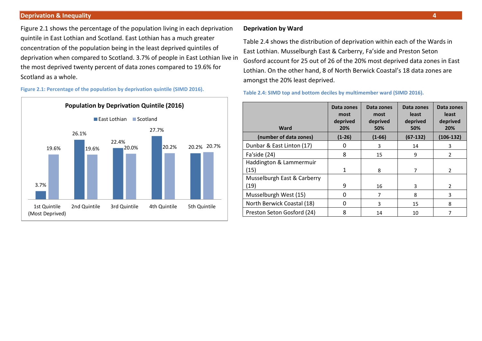Figure 2.1 shows the percentage of the population living in each deprivation quintile in East Lothian and Scotland. East Lothian has a much greater concentration of the population being in the least deprived quintiles of deprivation when compared to Scotland. 3.7% of people in East Lothian live in the most deprived twenty percent of data zones compared to 19.6% for Scotland as a whole.

**Figure 2.1: Percentage of the population by deprivation quintile (SIMD 2016).** 



#### **Deprivation by Ward**

Table 2.4 shows the distribution of deprivation within each of the Wards in East Lothian. Musselburgh East & Carberry, Fa'side and Preston Seton Gosford account for 25 out of 26 of the 20% most deprived data zones in East Lothian. On the other hand, 8 of North Berwick Coastal's 18 data zones are amongst the 20% least deprived.

**Table 2.4: SIMD top and bottom deciles by multimember ward (SIMD 2016).** 

| Ward                        | Data zones<br>most<br>deprived<br>20% | Data zones<br>most<br>deprived<br>50% | Data zones<br>least<br>deprived<br>50% | Data zones<br>least<br>deprived<br>20% |
|-----------------------------|---------------------------------------|---------------------------------------|----------------------------------------|----------------------------------------|
| (number of data zones)      | $(1-26)$                              | $(1-66)$                              | $(67-132)$                             | $(106-132)$                            |
| Dunbar & East Linton (17)   | 0                                     | 3                                     | 14                                     | 3                                      |
| Fa'side (24)                | 8                                     | 15                                    | 9                                      | 2                                      |
| Haddington & Lammermuir     |                                       |                                       |                                        |                                        |
| (15)                        | $\mathbf{1}$                          | 8                                     | 7                                      | $\mathfrak{p}$                         |
| Musselburgh East & Carberry |                                       |                                       |                                        |                                        |
| (19)                        | 9                                     | 16                                    | 3                                      | $\mathcal{P}$                          |
| Musselburgh West (15)       | $\Omega$                              | 7                                     | 8                                      | 3                                      |
| North Berwick Coastal (18)  | $\mathbf 0$                           | 3                                     | 15                                     | 8                                      |
| Preston Seton Gosford (24)  | 8                                     | 14                                    | 10                                     |                                        |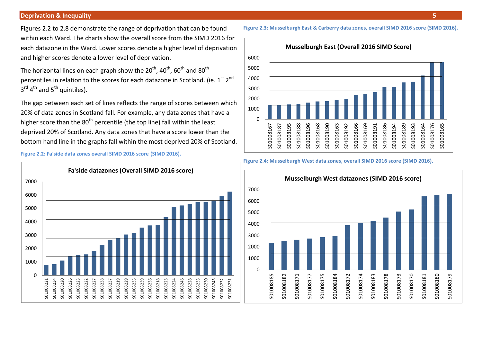Figures 2.2 to 2.8 demonstrate the range of deprivation that can be found within each Ward. The charts show the overall score from the SIMD 2016 for each datazone in the Ward. Lower scores denote a higher level of deprivation and higher scores denote a lower level of deprivation.

The horizontal lines on each graph show the  $20^{th}$ ,  $40^{th}$ ,  $60^{th}$  and  $80^{th}$ percentiles in relation to the scores for each datazone in Scotland. (ie.  $1^{st}$   $2^{nd}$  $3^{\text{rd}}$  4<sup>th</sup> and 5<sup>th</sup> quintiles).

The gap between each set of lines reflects the range of scores between which 20% of data zones in Scotland fall. For example, any data zones that have a higher score than the  $80<sup>th</sup>$  percentile (the top line) fall within the least deprived 20% of Scotland. Any data zones that have a score lower than the bottom hand line in the graphs fall within the most deprived 20% of Scotland.

**Figure 2.2: Fa'side data zones overall SIMD 2016 score (SIMD 2016).**





#### **Figure 2.4: Musselburgh West data zones, overall SIMD 2016 score (SIMD 2016).**



#### **Figure 2.3: Musselburgh East & Carberry data zones, overall SIMD 2016 score (SIMD 2016).**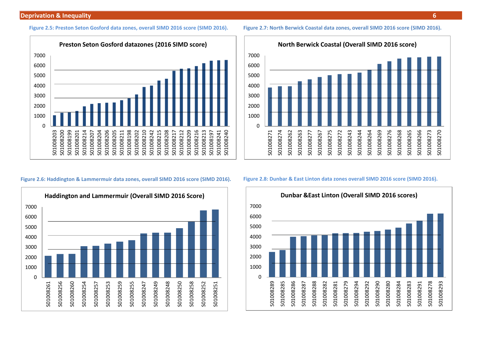#### **Figure 2.5: Preston Seton Gosford data zones, overall SIMD 2016 score (SIMD 2016).**



#### **Figure 2.6: Haddington & Lammermuir data zones, overall SIMD 2016 score (SIMD 2016).**





#### **Figure 2.8: Dunbar & East Linton data zones overall SIMD 2016 score (SIMD 2016).**



#### **Figure 2.7: North Berwick Coastal data zones, overall SIMD 2016 score (SIMD 2016).**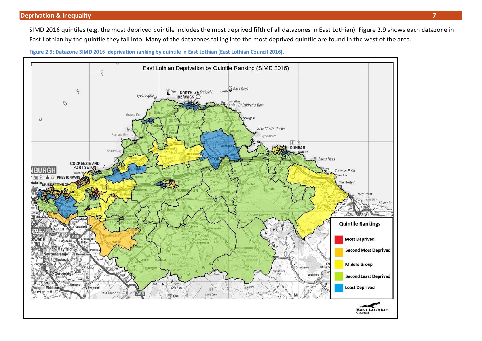SIMD 2016 quintiles (e.g. the most deprived quintile includes the most deprived fifth of all datazones in East Lothian). Figure 2.9 shows each datazone in East Lothian by the quintile they fall into. Many of the datazones falling into the most deprived quintile are found in the west of the area.



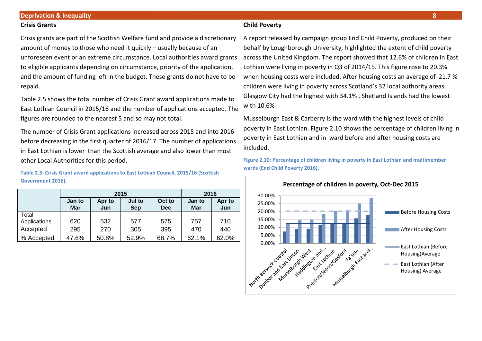#### **Crisis Grants**

Crisis grants are part of the Scottish Welfare fund and provide a discretionary amount of money to those who need it quickly – usually because of an unforeseen event or an extreme circumstance. Local authorities award grants to eligible applicants depending on circumstance, priority of the application, and the amount of funding left in the budget. These grants do not have to be repaid.

Table 2.5 shows the total number of Crisis Grant award applications made to East Lothian Council in 2015/16 and the number of applications accepted. The figures are rounded to the nearest 5 and so may not total.

The number of Crisis Grant applications increased across 2015 and into 2016 before decreasing in the first quarter of 2016/17. The number of applications in East Lothian is lower than the Scottish average and also lower than most other Local Authorities for this period.

**Table 2.5: Crisis Grant award applications to East Lothian Council, 2015/16 (Scottish Government 2016).** 

|              |                      | 2015          | 2016          |               |       |       |
|--------------|----------------------|---------------|---------------|---------------|-------|-------|
|              | Jan to<br><b>Mar</b> | Apr to<br>Jun | Jan to<br>Mar | Apr to<br>Jun |       |       |
| Total        |                      |               |               |               |       |       |
| Applications | 620                  | 532           | 577           | 575           | 757   | 710   |
| Accepted     | 295                  | 270           | 305           | 395           | 470   | 440   |
| % Accepted   | 47.6%                | 50.8%         | 52.9%         | 68.7%         | 62.1% | 62.0% |

#### **Child Poverty**

A report released by campaign group End Child Poverty, produced on their behalf by Loughborough University, highlighted the extent of child poverty across the United Kingdom. The report showed that 12.6% of children in East Lothian were living in poverty in Q3 of 2014/15. This figure rose to 20.3% when housing costs were included. After housing costs an average of 21.7 % children were living in poverty across Scotland's 32 local authority areas. Glasgow City had the highest with 34.1% , Shetland Islands had the lowest with 10.6%

Musselburgh East & Carberry is the ward with the highest levels of child poverty in East Lothian. Figure 2.10 shows the percentage of children living in poverty in East Lothian and in ward before and after housing costs are included.

**Figure 2.10: Percentage of children living in poverty in East Lothian and multimember wards (End Child Poverty 2016).**

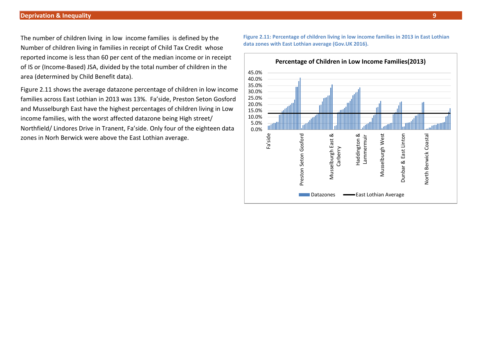The number of children living in low income families is defined by the Number of children living in families in receipt of Child Tax Credit whose reported income is less than 60 per cent of the median income or in receipt of IS or (Income-Based) JSA, divided by the total number of children in the area (determined by Child Benefit data).

Figure 2.11 shows the average datazone percentage of children in low income families across East Lothian in 2013 was 13%. Fa'side, Preston Seton Gosford and Musselburgh East have the highest percentages of children living in Low income families, with the worst affected datazone being High street/ Northfield/ Lindores Drive in Tranent, Fa'side. Only four of the eighteen data zones in Norh Berwick were above the East Lothian average.

**Figure 2.11: Percentage of children living in low income families in 2013 in East Lothian data zones with East Lothian average (Gov.UK 2016).**

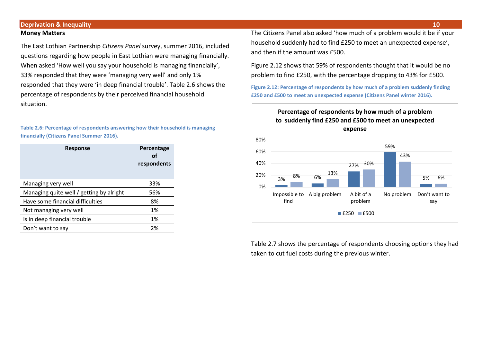#### **Deprivation & Inequality 10 Money Matters**

The East Lothian Partnership *Citizens Panel* survey, summer 2016, included questions regarding how people in East Lothian were managing financially. When asked 'How well you say your household is managing financially', 33% responded that they were 'managing very well' and only 1% responded that they were 'in deep financial trouble'. Table 2.6 shows the percentage of respondents by their perceived financial household situation.

**Table 2.6: Percentage of respondents answering how their household is managing financially (Citizens Panel Summer 2016).**

| <b>Response</b>                          | Percentage<br>Ωf<br>respondents |
|------------------------------------------|---------------------------------|
| Managing very well                       | 33%                             |
| Managing quite well / getting by alright | 56%                             |
| Have some financial difficulties         | 8%                              |
| Not managing very well                   | 1%                              |
| Is in deep financial trouble             | 1%                              |
| Don't want to say                        | 2%                              |

The Citizens Panel also asked 'how much of a problem would it be if your household suddenly had to find £250 to meet an unexpected expense', and then if the amount was £500.

Figure 2.12 shows that 59% of respondents thought that it would be no problem to find £250, with the percentage dropping to 43% for £500.

**Figure 2.12: Percentage of respondents by how much of a problem suddenly finding £250 and £500 to meet an unexpected expense (Citizens Panel winter 2016).**



Table 2.7 shows the percentage of respondents choosing options they had taken to cut fuel costs during the previous winter.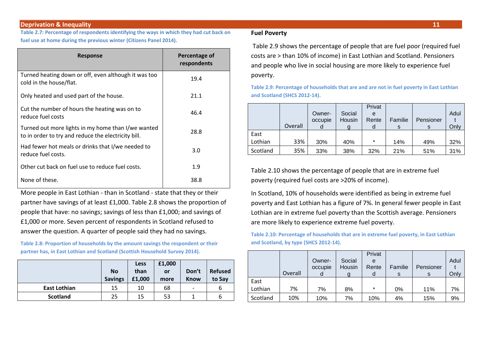**Table 2.7: Percentage of respondents identifying the ways in which they had cut back on fuel use at home during the previous winter (Citizens Panel 2014).**

| <b>Response</b>                                                                                           | Percentage of<br>respondents |
|-----------------------------------------------------------------------------------------------------------|------------------------------|
| Turned heating down or off, even although it was too<br>cold in the house/flat.                           | 19.4                         |
| Only heated and used part of the house.                                                                   | 21.1                         |
| Cut the number of hours the heating was on to<br>reduce fuel costs                                        | 46.4                         |
| Turned out more lights in my home than I/we wanted<br>to in order to try and reduce the electricity bill. | 28.8                         |
| Had fewer hot meals or drinks that I/we needed to<br>reduce fuel costs.                                   | 3.0                          |
| Other cut back on fuel use to reduce fuel costs.                                                          | 1.9                          |
| None of these.                                                                                            | 38.8                         |

More people in East Lothian - than in Scotland - state that they or their partner have savings of at least £1,000. Table 2.8 shows the proportion of people that have: no savings; savings of less than £1,000; and savings of £1,000 or more. Seven percent of respondents in Scotland refused to answer the question. A quarter of people said they had no savings.

**Table 2.8: Proportion of households by the amount savings the respondent or their partner has, in East Lothian and Scotland (Scottish Household Survey 2014).** 

|                     | <b>No</b><br><b>Savings</b> | <b>Less</b><br>than<br>£1,000 | £1,000<br>or<br>more | Don't<br><b>Know</b>     | <b>Refused</b><br>to Say |
|---------------------|-----------------------------|-------------------------------|----------------------|--------------------------|--------------------------|
| <b>East Lothian</b> | 15                          | 10                            | 68                   | $\overline{\phantom{0}}$ | b                        |
| <b>Scotland</b>     | 25                          | 15                            | 53                   |                          | b                        |

#### **Fuel Poverty**

Table 2.9 shows the percentage of people that are fuel poor (required fuel costs are > than 10% of income) in East Lothian and Scotland. Pensioners and people who live in social housing are more likely to experience fuel poverty.

**Table 2.9: Percentage of households that are and are not in fuel poverty in East Lothian and Scotland (SHCS 2012-14).**

|          |         |         |        | Privat  |         |           |      |
|----------|---------|---------|--------|---------|---------|-----------|------|
|          |         | Owner-  | Social | е       |         |           | Adul |
|          |         | occupie | Housin | Rente   | Familie | Pensioner |      |
|          | Overall |         |        |         | s       |           | Only |
| East     |         |         |        |         |         |           |      |
| Lothian  | 33%     | 30%     | 40%    | $\star$ | 14%     | 49%       | 32%  |
| Scotland | 35%     | 33%     | 38%    | 32%     | 21%     | 51%       | 31%  |

Table 2.10 shows the percentage of people that are in extreme fuel poverty (required fuel costs are >20% of income).

In Scotland, 10% of households were identified as being in extreme fuel poverty and East Lothian has a figure of 7%. In general fewer people in East Lothian are in extreme fuel poverty than the Scottish average. Pensioners are more likely to experience extreme fuel poverty.

**Table 2.10: Percentage of households that are in extreme fuel poverty, in East Lothian and Scotland, by type (SHCS 2012-14).**

|          |         |         |        | Privat  |         |           |      |
|----------|---------|---------|--------|---------|---------|-----------|------|
|          |         | Owner-  | Social | e       |         |           | Adul |
|          |         | occupie | Housin | Rente   | Familie | Pensioner |      |
|          | Overall |         |        | d       |         | S         | Only |
| East     |         |         |        |         |         |           |      |
| Lothian  | 7%      | 7%      | 8%     | $\star$ | 0%      | 11%       | 7%   |
| Scotland | 10%     | 10%     | 7%     | 10%     | 4%      | 15%       | 9%   |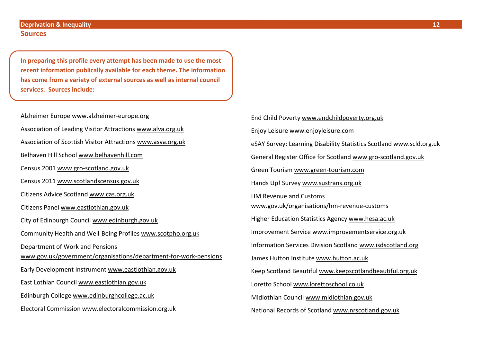#### **Sources**

**In preparing this profile every attempt has been made to use the most recent information publically available for each theme. The information has come from a variety of external sources as well as internal council services. Sources include:**

Alzheimer Europe [www.alzheimer-europe.org](http://www.alzheimer-europe.org/) Association of Leading Visitor Attractions [www.alva.org.uk](http://www.alva.org.uk/) Association of Scottish Visitor Attractions [www.asva.org.uk](http://www.asva.org.uk/) Belhaven Hill School [www.belhavenhill.com](http://www.belhavenhill.com/) Census 2001 [www.gro-scotland.gov.uk](http://www.gro-scotland.gov.uk/) Census 2011 [www.scotlandscensus.gov.uk](http://www.scotlandscensus.gov.uk/) Citizens Advice Scotland [www.cas.org.uk](http://www.cas.org.uk/) Citizens Panel [www.eastlothian.gov.uk](http://www.eastlothian.gov.uk/) City of Edinburgh Council [www.edinburgh.gov.uk](http://www.edinburgh.gov.uk/) Community Health and Well-Being Profiles [www.scotpho.org.uk](http://www.scotpho.org.uk/) Department of Work and Pensions [www.gov.uk/government/organisations/department-for-work-pensions](http://www.gov.uk/government/organisations/department-for-work-pensions)  Early Development Instrument [www.eastlothian.gov.uk](http://www.eastlothian.gov.uk/) East Lothian Council [www.eastlothian.gov.uk](http://www.eastlothian.gov.uk/) Edinburgh College [www.edinburghcollege.ac.uk](http://www.edinburghcollege.ac.uk/) Electoral Commission [www.electoralcommission.org.uk](http://www.electoralcommission.org.uk/)

End Child Poverty [www.endchildpoverty.org.uk](http://www.endchildpoverty.org.uk/) Enjoy Leisure [www.enjoyleisure.com](http://www.enjoyleisure.com/) eSAY Survey: Learning Disability Statistics Scotland [www.scld.org.uk](http://www.scld.org.uk/) General Register Office for Scotland [www.gro-scotland.gov.uk](http://www.gro-scotland.gov.uk/) Green Tourism [www.green-tourism.com](http://www.green-tourism.com/) Hands Up! Survey [www.sustrans.org.uk](http://www.sustrans.org.uk/) HM Revenue and Customs [www.gov.uk/organisations/hm-revenue-customs](http://www.gov.uk/organisations/hm-revenue-customs) Higher Education Statistics Agency [www.hesa.ac.uk](http://www.hesa.ac.uk/) Improvement Service [www.improvementservice.org.uk](http://www.improvementservice.org.uk/) Information Services Division Scotland [www.isdscotland.org](http://www.isdscotland.org/) James Hutton Institute [www.hutton.ac.uk](http://www.hutton.ac.uk/) Keep Scotland Beautiful [www.keepscotlandbeautiful.org.uk](http://www.keepscotlandbeautiful.org.uk/) Loretto School [www.lorettoschool.co.uk](http://www.lorettoschool.co.uk/) Midlothian Council [www.midlothian.gov.uk](http://www.midlothian.gov.uk/) National Records of Scotland [www.nrscotland.gov.uk](http://www.nrscotland.gov.uk/)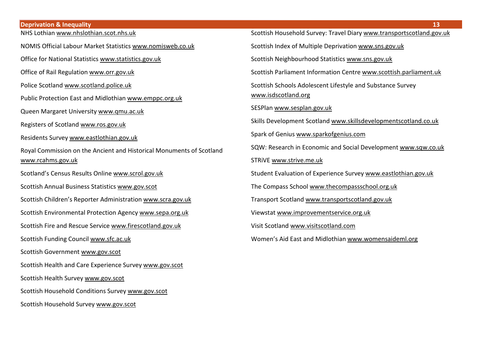**Deprivation & Inequality 13** NHS Lothia[n www.nhslothian.scot.nhs.uk](http://www.nhslothian.scot.nhs.uk/) NOMIS Official Labour Market Statistics [www.nomisweb.co.uk](http://www.nomisweb.co.uk/) Office for National Statistics [www.statistics.gov.uk](http://www.statistics.gov.uk/) Office of Rail Regulation [www.orr.gov.uk](http://www.orr.gov.uk/) Police Scotland [www.scotland.police.uk](http://www.scotland.police.uk/) Public Protection East and Midlothian [www.emppc.org.uk](http://www.emppc.org.uk/) Queen Margaret University [www.qmu.ac.uk](http://www.qmu.ac.uk/) Registers of Scotland [www.ros.gov.uk](http://www.ros.gov.uk/) Residents Survey [www.eastlothian.gov.uk](http://www.eastlothian.gov.uk/) Royal Commission on the Ancient and Historical Monuments of Scotland [www.rcahms.gov.uk](http://www.rcahms.gov.uk/) Scotland's Census Results Online [www.scrol.gov.uk](http://www.scrol.gov.uk/) Scottish Annual Business Statistics [www.gov.scot](http://www.gov.scot/)  Scottish Children's Reporter Administration [www.scra.gov.uk](http://www.scra.gov.uk/)  Scottish Environmental Protection Agenc[y www.sepa.org.uk](http://www.sepa.org.uk/) Scottish Fire and Rescue Service [www.firescotland.gov.uk](http://www.firescotland.gov.uk/) Scottish Funding Council [www.sfc.ac.uk](http://www.sfc.ac.uk/) Scottish Government [www.gov.scot](http://www.gov.scot/)  Scottish Health and Care Experience Survey [www.gov.scot](http://www.gov.scot/)  Scottish Health Survey [www.gov.scot](http://www.gov.scot/) 

Scottish Household Conditions Survey [www.gov.scot](http://www.gov.scot/) 

Scottish Household Survey [www.gov.scot](http://www.gov.scot/) 

| Scottish Household Survey: Travel Diary www.transportscotland.gov.uk              |
|-----------------------------------------------------------------------------------|
| Scottish Index of Multiple Deprivation www.sns.gov.uk                             |
| Scottish Neighbourhood Statistics www.sns.gov.uk                                  |
| Scottish Parliament Information Centre www.scottish.parliament.uk                 |
| Scottish Schools Adolescent Lifestyle and Substance Survey<br>www.isdscotland.org |
| SESPlan www.sesplan.gov.uk                                                        |
| Skills Development Scotland www.skillsdevelopmentscotland.co.uk                   |
| Spark of Genius www.sparkofgenius.com                                             |
| SQW: Research in Economic and Social Development www.sqw.co.uk                    |
| STRIVE www.strive.me.uk                                                           |
| Student Evaluation of Experience Survey www.eastlothian.gov.uk                    |
| The Compass School www.thecompassschool.org.uk                                    |
| Transport Scotland www.transportscotland.gov.uk                                   |
| Viewstat www.improvementservice.org.uk                                            |
| Visit Scotland www.visitscotland.com                                              |
| Women's Aid East and Midlothian www.womensaideml.org                              |
|                                                                                   |